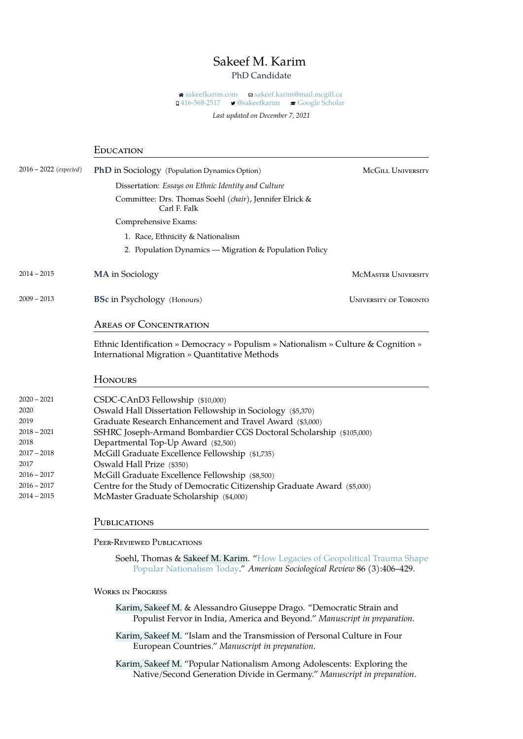## Sakeef M. Karim

## PhD Candidate

**a** [sakeefkarim.com](https://sakeefkarim.com) a [sakeef.karim@mail.mcgill.ca](mailto:sakeef.karim@mail.mcgill.ca) **□ [416-568-2517](tel:416-568-2517) • [@sakeefkarim](https://twitter.com/sakeefkarim) · e [Google Scholar](https://scholar.google.com/citations?user=lxp2AUAAAAAJ&hl=en)** 

*Last updated on December 7, 2021*

|                        | EDUCATION                                                                                                                                               |                              |
|------------------------|---------------------------------------------------------------------------------------------------------------------------------------------------------|------------------------------|
| 2016 – 2022 (expected) | PhD in Sociology (Population Dynamics Option)                                                                                                           | MCGILL UNIVERSITY            |
|                        | Dissertation: <i>Essays on Ethnic Identity and Culture</i>                                                                                              |                              |
|                        | Committee: Drs. Thomas Soehl (chair), Jennifer Elrick &<br>Carl F. Falk                                                                                 |                              |
|                        | Comprehensive Exams:                                                                                                                                    |                              |
|                        | 1. Race, Ethnicity & Nationalism                                                                                                                        |                              |
|                        | 2. Population Dynamics - Migration & Population Policy                                                                                                  |                              |
| 2014 – 2015            | <b>MA</b> in Sociology                                                                                                                                  | <b>MCMASTER UNIVERSITY</b>   |
| 2009 – 2013            | <b>BSc in Psychology</b> (Honours)                                                                                                                      | <b>UNIVERSITY OF TORONTO</b> |
|                        | <b>AREAS OF CONCENTRATION</b>                                                                                                                           |                              |
|                        | Ethnic Identification » Democracy » Populism » Nationalism » Culture & Cognition »<br>International Migration » Quantitative Methods                    |                              |
|                        | <b>HONOURS</b>                                                                                                                                          |                              |
| 2020 – 2021            | CSDC-CAnD3 Fellowship (\$10,000)                                                                                                                        |                              |
| 2020                   | Oswald Hall Dissertation Fellowship in Sociology (\$5,370)                                                                                              |                              |
| 2019                   | Graduate Research Enhancement and Travel Award (\$3,000)                                                                                                |                              |
| 2018 – 2021            | SSHRC Joseph-Armand Bombardier CGS Doctoral Scholarship (\$105,000)                                                                                     |                              |
| 2018                   | Departmental Top-Up Award (\$2,500)                                                                                                                     |                              |
| 2017 – 2018<br>2017    | McGill Graduate Excellence Fellowship (\$1,735)                                                                                                         |                              |
| $2016 - 2017$          | Oswald Hall Prize (\$350)<br>McGill Graduate Excellence Fellowship (\$8,500)                                                                            |                              |
| 2016 – 2017            | Centre for the Study of Democratic Citizenship Graduate Award (\$5,000)                                                                                 |                              |
| 2014 – 2015            | McMaster Graduate Scholarship (\$4,000)                                                                                                                 |                              |
|                        | PUBLICATIONS                                                                                                                                            |                              |
|                        | PEER-REVIEWED PUBLICATIONS                                                                                                                              |                              |
|                        | Soehl, Thomas & Sakeef M. Karim. "How Legacies of Geopolitical Trauma Shape<br>Popular Nationalism Today." American Sociological Review 86 (3):406-429. |                              |

## WORKS IN PROGRESS

Karim, Sakeef M. & Alessandro Giuseppe Drago. "Democratic Strain and Populist Fervor in India, America and Beyond." *Manuscript in preparation*.

Karim, Sakeef M. "Islam and the Transmission of Personal Culture in Four European Countries." *Manuscript in preparation*.

Karim, Sakeef M. "Popular Nationalism Among Adolescents: Exploring the Native/Second Generation Divide in Germany." *Manuscript in preparation*.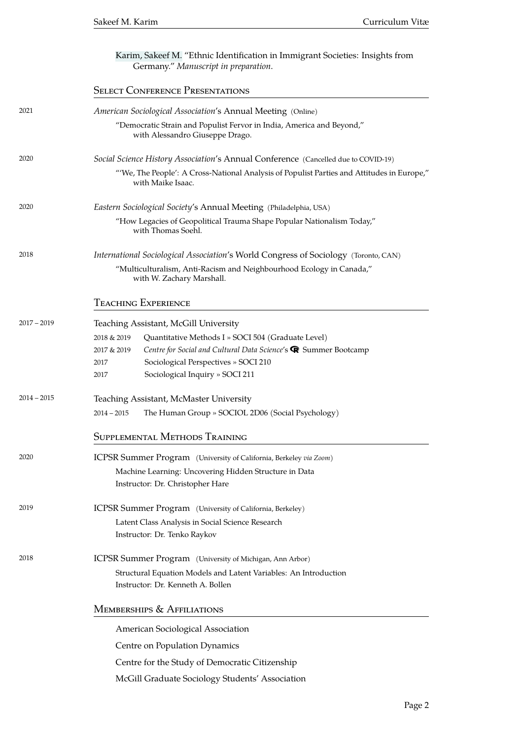|               | Karim, Sakeef M. "Ethnic Identification in Immigrant Societies: Insights from<br>Germany." Manuscript in preparation. |  |
|---------------|-----------------------------------------------------------------------------------------------------------------------|--|
|               | <b>SELECT CONFERENCE PRESENTATIONS</b>                                                                                |  |
| 2021          | American Sociological Association's Annual Meeting (Online)                                                           |  |
|               | "Democratic Strain and Populist Fervor in India, America and Beyond,"<br>with Alessandro Giuseppe Drago.              |  |
| 2020          | Social Science History Association's Annual Conference (Cancelled due to COVID-19)                                    |  |
|               | "'We, The People': A Cross-National Analysis of Populist Parties and Attitudes in Europe,"<br>with Maike Isaac.       |  |
| 2020          | Eastern Sociological Society's Annual Meeting (Philadelphia, USA)                                                     |  |
|               | "How Legacies of Geopolitical Trauma Shape Popular Nationalism Today,"<br>with Thomas Soehl.                          |  |
| 2018          | International Sociological Association's World Congress of Sociology (Toronto, CAN)                                   |  |
|               | "Multiculturalism, Anti-Racism and Neighbourhood Ecology in Canada,"<br>with W. Zachary Marshall.                     |  |
|               | <b>TEACHING EXPERIENCE</b>                                                                                            |  |
| $2017 - 2019$ | Teaching Assistant, McGill University                                                                                 |  |
|               | 2018 & 2019<br>Quantitative Methods I » SOCI 504 (Graduate Level)                                                     |  |
|               | Centre for Social and Cultural Data Science's <sup>®</sup> Summer Bootcamp<br>2017 & 2019                             |  |
|               | Sociological Perspectives » SOCI 210<br>2017                                                                          |  |
|               | Sociological Inquiry » SOCI 211<br>2017                                                                               |  |
| $2014 - 2015$ | Teaching Assistant, McMaster University                                                                               |  |
|               | $2014 - 2015$<br>The Human Group » SOCIOL 2D06 (Social Psychology)                                                    |  |
|               | SUPPLEMENTAL METHODS TRAINING                                                                                         |  |
| 2020          | ICPSR Summer Program (University of California, Berkeley via Zoom)                                                    |  |
|               | Machine Learning: Uncovering Hidden Structure in Data                                                                 |  |
|               | Instructor: Dr. Christopher Hare                                                                                      |  |
| 2019          | ICPSR Summer Program (University of California, Berkeley)                                                             |  |
|               | Latent Class Analysis in Social Science Research                                                                      |  |
|               | Instructor: Dr. Tenko Raykov                                                                                          |  |
| 2018          | ICPSR Summer Program (University of Michigan, Ann Arbor)                                                              |  |
|               | Structural Equation Models and Latent Variables: An Introduction                                                      |  |
|               | Instructor: Dr. Kenneth A. Bollen                                                                                     |  |
|               | MEMBERSHIPS & AFFILIATIONS                                                                                            |  |
|               | American Sociological Association                                                                                     |  |
|               | Centre on Population Dynamics                                                                                         |  |
|               | Centre for the Study of Democratic Citizenship                                                                        |  |
|               | McGill Graduate Sociology Students' Association                                                                       |  |